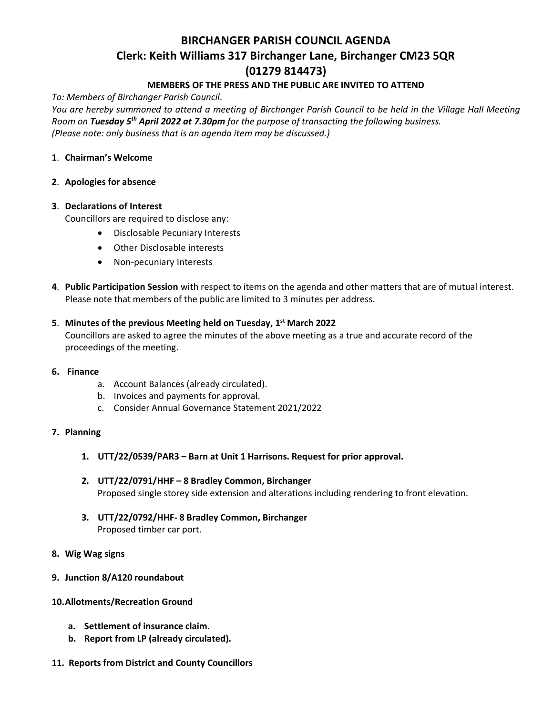# **BIRCHANGER PARISH COUNCIL AGENDA Clerk: Keith Williams 317 Birchanger Lane, Birchanger CM23 5QR (01279 814473)**

# **MEMBERS OF THE PRESS AND THE PUBLIC ARE INVITED TO ATTEND**

*To: Members of Birchanger Parish Council.*

*You are hereby summoned to attend a meeting of Birchanger Parish Council to be held in the Village Hall Meeting Room on Tuesday 5 th April 2022 at 7.30pm for the purpose of transacting the following business. (Please note: only business that is an agenda item may be discussed.)*

#### **1**. **Chairman's Welcome**

#### **2**. **Apologies for absence**

#### **3**. **Declarations of Interest**

Councillors are required to disclose any:

- Disclosable Pecuniary Interests
- Other Disclosable interests
- Non-pecuniary Interests
- **4**. **Public Participation Session** with respect to items on the agenda and other matters that are of mutual interest. Please note that members of the public are limited to 3 minutes per address.

# **5**. **Minutes of the previous Meeting held on Tuesday, 1 st March 2022**

Councillors are asked to agree the minutes of the above meeting as a true and accurate record of the proceedings of the meeting.

- **6. Finance**
	- a. Account Balances (already circulated).
	- b. Invoices and payments for approval.
	- c. Consider Annual Governance Statement 2021/2022

## **7. Planning**

- **1. UTT/22/0539/PAR3 – Barn at Unit 1 Harrisons. Request for prior approval.**
- **2. UTT/22/0791/HHF – 8 Bradley Common, Birchanger** Proposed single storey side extension and alterations including rendering to front elevation.
- **3. UTT/22/0792/HHF- 8 Bradley Common, Birchanger** Proposed timber car port.

## **8. Wig Wag signs**

**9. Junction 8/A120 roundabout**

## **10.Allotments/Recreation Ground**

- **a. Settlement of insurance claim.**
- **b. Report from LP (already circulated).**
- **11. Reports from District and County Councillors**